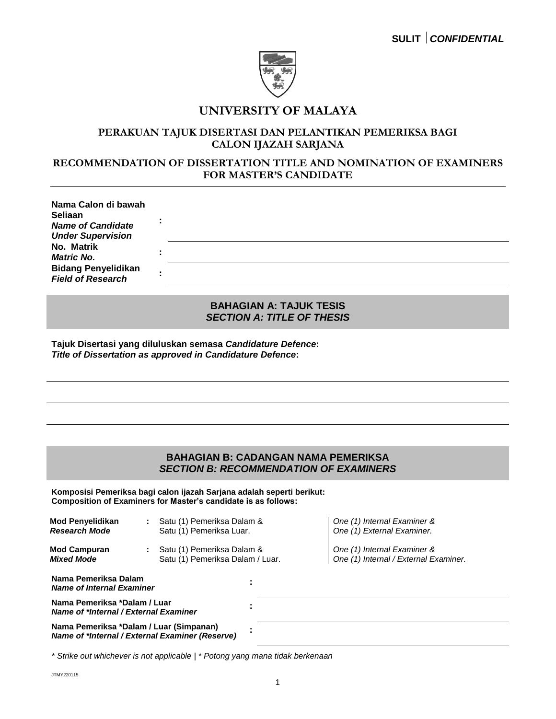

# **UNIVERSITY OF MALAYA**

## **PERAKUAN TAJUK DISERTASI DAN PELANTIKAN PEMERIKSA BAGI CALON IJAZAH SARJANA**

## **RECOMMENDATION OF DISSERTATION TITLE AND NOMINATION OF EXAMINERS FOR MASTER'S CANDIDATE**

| Nama Calon di bawah<br>Seliaan                       |  |
|------------------------------------------------------|--|
| <b>Name of Candidate</b><br><b>Under Supervision</b> |  |
| No. Matrik                                           |  |
| <b>Matric No.</b>                                    |  |
| <b>Bidang Penyelidikan</b>                           |  |
| <b>Field of Research</b>                             |  |

### **BAHAGIAN A: TAJUK TESIS**  *SECTION A: TITLE OF THESIS*

**Tajuk Disertasi yang diluluskan semasa** *Candidature Defence***:** *Title of Dissertation as approved in Candidature Defence***:**

### **BAHAGIAN B: CADANGAN NAMA PEMERIKSA** *SECTION B: RECOMMENDATION OF EXAMINERS*

**Komposisi Pemeriksa bagi calon ijazah Sarjana adalah seperti berikut: Composition of Examiners for Master's candidate is as follows:**

| <b>Mod Penyelidikan</b><br><b>Research Mode</b>                                            | ÷ | Satu (1) Pemeriksa Dalam &<br>Satu (1) Pemeriksa Luar.         |  |  | One (1) Internal Examiner &<br>One (1) External Examiner.            |
|--------------------------------------------------------------------------------------------|---|----------------------------------------------------------------|--|--|----------------------------------------------------------------------|
| <b>Mod Campuran</b><br><b>Mixed Mode</b>                                                   |   | Satu (1) Pemeriksa Dalam &<br>Satu (1) Pemeriksa Dalam / Luar. |  |  | One (1) Internal Examiner &<br>One (1) Internal / External Examiner. |
| Nama Pemeriksa Dalam<br><b>Name of Internal Examiner</b>                                   |   |                                                                |  |  |                                                                      |
| Nama Pemeriksa *Dalam / Luar<br>Name of *Internal / External Examiner                      |   |                                                                |  |  |                                                                      |
| Nama Pemeriksa *Dalam / Luar (Simpanan)<br>Name of *Internal / External Examiner (Reserve) |   |                                                                |  |  |                                                                      |

*\* Strike out whichever is not applicable | \* Potong yang mana tidak berkenaan*

JTMY220115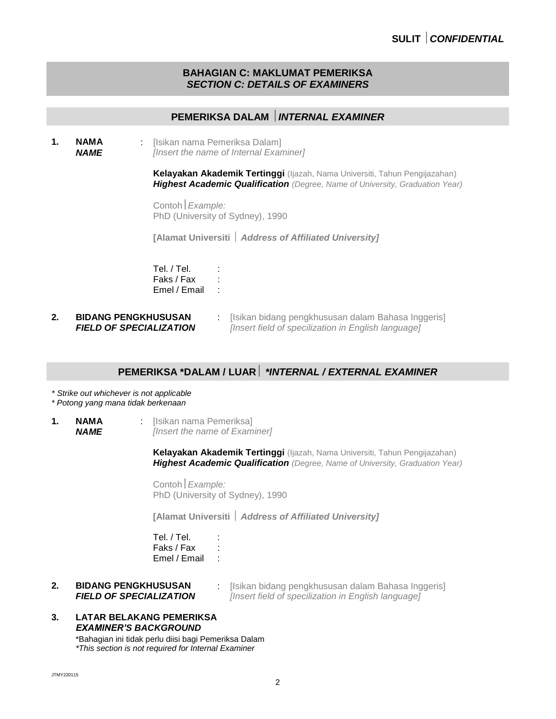#### **BAHAGIAN C: MAKLUMAT PEMERIKSA** *SECTION C: DETAILS OF EXAMINERS*

# **PEMERIKSA DALAM** *INTERNAL EXAMINER*

**1. NAMA** *NAME* : [Isikan nama Pemeriksa Dalam] *[Insert the name of Internal Examiner]* 

> **Kelayakan Akademik Tertinggi** (Ijazah, Nama Universiti, Tahun Pengijazahan) *Highest Academic Qualification (Degree, Name of University, Graduation Year)*

Contoh*Example:* PhD (University of Sydney), 1990

**[Alamat Universiti**  *Address of Affiliated University]*

Tel. / Tel. : Faks / Fax : Emel / Email :

**2. BIDANG PENGKHUSUSAN** *FIELD OF SPECIALIZATION* : [Isikan bidang pengkhususan dalam Bahasa Inggeris] *[Insert field of specilization in English language]*

## **PEMERIKSA \*DALAM / LUAR** *\*INTERNAL / EXTERNAL EXAMINER*

*\* Strike out whichever is not applicable*

*\* Potong yang mana tidak berkenaan*

**1. NAMA** *NAME* : [Isikan nama Pemeriksa] *[Insert the name of Examiner]* 

> **Kelayakan Akademik Tertinggi** (Ijazah, Nama Universiti, Tahun Pengijazahan) *Highest Academic Qualification (Degree, Name of University, Graduation Year)*

Contoh*Example:* PhD (University of Sydney), 1990

**[Alamat Universiti**  *Address of Affiliated University]*

Tel. / Tel. : Faks / Fax : Emel / Email :

- **2. BIDANG PENGKHUSUSAN** *FIELD OF SPECIALIZATION*
- : [Isikan bidang pengkhususan dalam Bahasa Inggeris] *[Insert field of specilization in English language]*
- **3. LATAR BELAKANG PEMERIKSA** *EXAMINER'S BACKGROUND*

\*Bahagian ini tidak perlu diisi bagi Pemeriksa Dalam *\*This section is not required for Internal Examiner*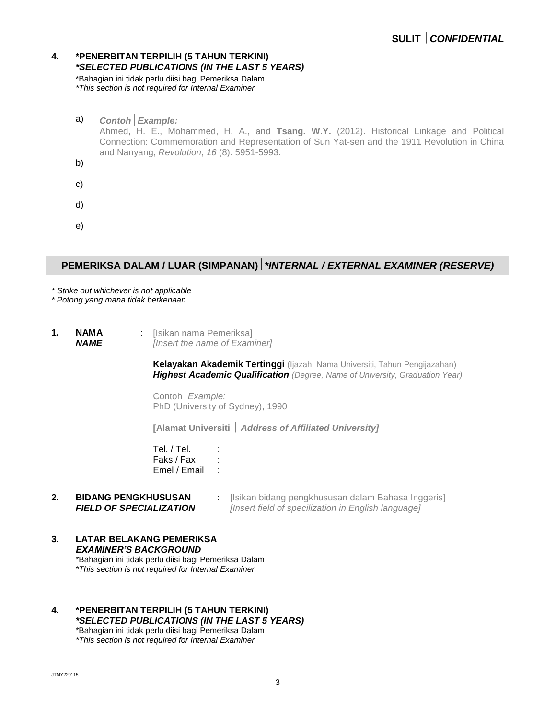#### **4. \*PENERBITAN TERPILIH (5 TAHUN TERKINI)** *\*SELECTED PUBLICATIONS (IN THE LAST 5 YEARS)*

\*Bahagian ini tidak perlu diisi bagi Pemeriksa Dalam *\*This section is not required for Internal Examiner*

a) *ContohExample:* Ahmed, H. E., Mohammed, H. A., and **Tsang. W.Y.** (2012). Historical Linkage and Political Connection: Commemoration and Representation of Sun Yat-sen and the 1911 Revolution in China and Nanyang, *Revolution*, *16* (8): 5951-5993. b) c) d) e)

# **PEMERIKSA DALAM / LUAR (SIMPANAN)***\*INTERNAL / EXTERNAL EXAMINER (RESERVE)*

*\* Strike out whichever is not applicable*

*\* Potong yang mana tidak berkenaan*

**1. NAMA** *NAME* : [Isikan nama Pemeriksa] *[Insert the name of Examiner]* 

> **Kelayakan Akademik Tertinggi** (Ijazah, Nama Universiti, Tahun Pengijazahan) *Highest Academic Qualification (Degree, Name of University, Graduation Year)*

Contoh*Example:* PhD (University of Sydney), 1990

**[Alamat Universiti**  *Address of Affiliated University]*

Tel. / Tel. : in the set of the set of the set of the set of the set of the set of the set of the set of the s<br>set of the set of the set of the set of the set of the set of the set of the set of the set of the set of the <br> Faks / Fax : Emel / Email :

- **2. BIDANG PENGKHUSUSAN** *FIELD OF SPECIALIZATION* : [Isikan bidang pengkhususan dalam Bahasa Inggeris] *[Insert field of specilization in English language]*
- **3. LATAR BELAKANG PEMERIKSA** *EXAMINER'S BACKGROUND* \*Bahagian ini tidak perlu diisi bagi Pemeriksa Dalam *\*This section is not required for Internal Examiner*
- **4. \*PENERBITAN TERPILIH (5 TAHUN TERKINI)** *\*SELECTED PUBLICATIONS (IN THE LAST 5 YEARS)* \*Bahagian ini tidak perlu diisi bagi Pemeriksa Dalam

*\*This section is not required for Internal Examiner*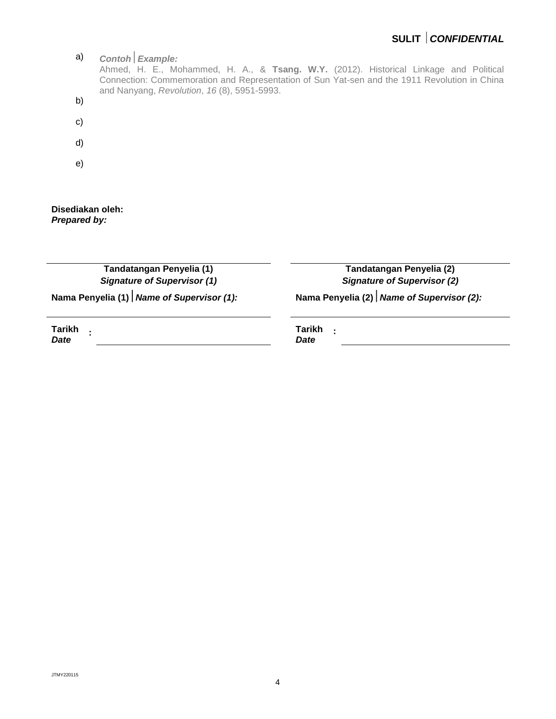

**Disediakan oleh:** *Prepared by:*

> **Tandatangan Penyelia (1)** *Signature of Supervisor (1)*

**Tandatangan Penyelia (2)** *Signature of Supervisor (2)*

**Nama Penyelia (1)***Name of Supervisor (1):* **Nama Penyelia (2)***Name of Supervisor (2):*

**Tarikh :** *Date*

**Tarikh :** *Date*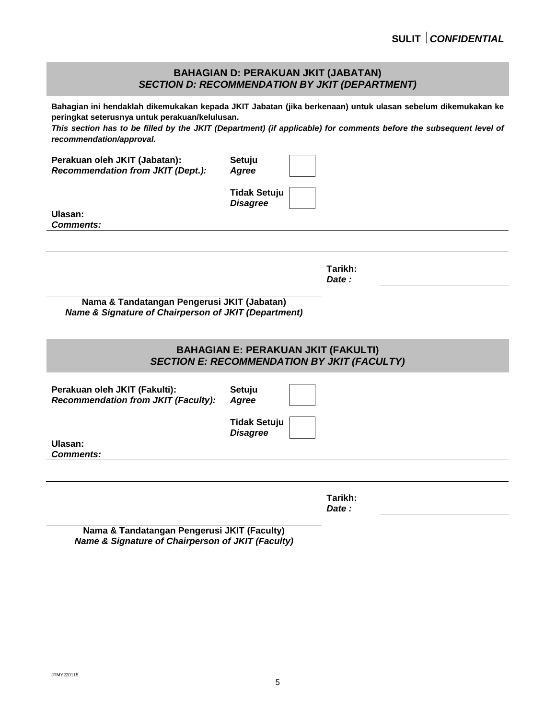#### **BAHAGIAN D: PERAKUAN JKIT (JABATAN)** *SECTION D: RECOMMENDATION BY JKIT (DEPARTMENT)*

**Bahagian ini hendaklah dikemukakan kepada JKIT Jabatan (jika berkenaan) untuk ulasan sebelum dikemukakan ke peringkat seterusnya untuk perakuan/kelulusan.**

*This section has to be filled by the JKIT (Department) (if applicable) for comments before the subsequent level of recommendation/approval.*

**Perakuan oleh JKIT (Jabatan):** *Recommendation from JKIT (Dept.):* **Setuju** *Agree* **Tidak Setuju** *Disagree* **Ulasan:** *Comments:* **Tarikh:** *Date :* **Nama & Tandatangan Pengerusi JKIT (Jabatan)** *Name & Signature of Chairperson of JKIT (Department)* **BAHAGIAN E: PERAKUAN JKIT (FAKULTI)** *SECTION E: RECOMMENDATION BY JKIT (FACULTY)* **Perakuan oleh JKIT (Fakulti):** *Recommendation from JKIT (Faculty):* **Setuju** *Agree* **Tidak Setuju** *Disagree* **Ulasan:** *Comments:* **Tarikh:** *Date :*

**Nama & Tandatangan Pengerusi JKIT (Faculty)** *Name & Signature of Chairperson of JKIT (Faculty)*